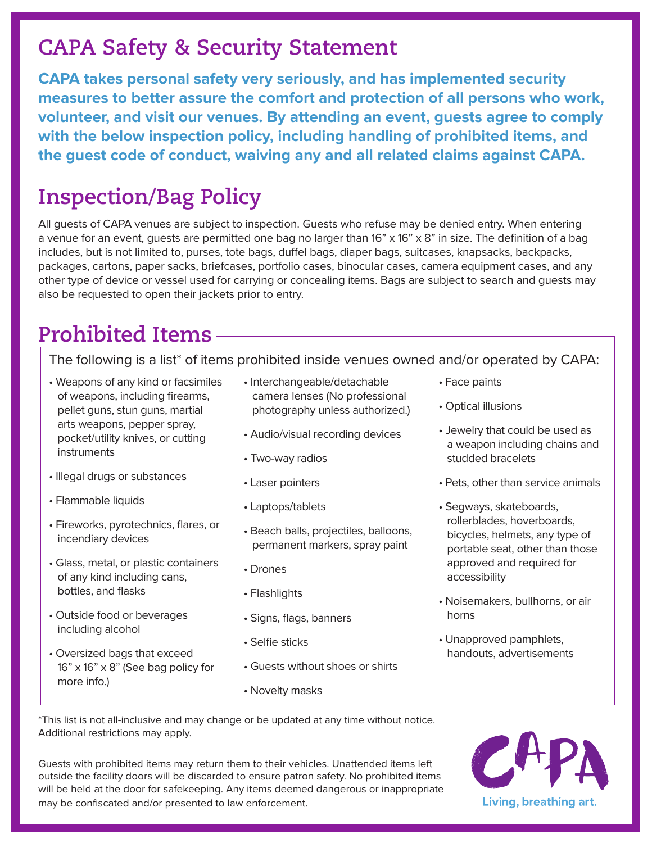## **CAPA Safety & Security Statement**

**CAPA takes personal safety very seriously, and has implemented security measures to better assure the comfort and protection of all persons who work, volunteer, and visit our venues. By attending an event, guests agree to comply with the below inspection policy, including handling of prohibited items, and the guest code of conduct, waiving any and all related claims against CAPA.**

## **Inspection/Bag Policy**

All guests of CAPA venues are subject to inspection. Guests who refuse may be denied entry. When entering a venue for an event, quests are permitted one bag no larger than  $16" \times 16" \times 8"$  in size. The definition of a bag includes, but is not limited to, purses, tote bags, duffel bags, diaper bags, suitcases, knapsacks, backpacks, packages, cartons, paper sacks, briefcases, portfolio cases, binocular cases, camera equipment cases, and any other type of device or vessel used for carrying or concealing items. Bags are subject to search and guests may also be requested to open their jackets prior to entry.

# **Prohibited Items**

The following is a list\* of items prohibited inside venues owned and/or operated by CAPA:

- Weapons of any kind or facsimiles of weapons, including firearms, pellet guns, stun guns, martial arts weapons, pepper spray, pocket/utility knives, or cutting instruments
- Illegal drugs or substances
- Flammable liquids
- Fireworks, pyrotechnics, flares, or incendiary devices
- Glass, metal, or plastic containers of any kind including cans, bottles, and flasks
- Outside food or beverages including alcohol
- Oversized bags that exceed 16" x 16" x 8" (See bag policy for more info.)
- Interchangeable/detachable camera lenses (No professional photography unless authorized.)
- Audio/visual recording devices
- Two-way radios
- Laser pointers
- Laptops/tablets
- Beach balls, projectiles, balloons, permanent markers, spray paint
- Drones
- Flashlights
- Signs, flags, banners
- Selfie sticks
- Guests without shoes or shirts
- Novelty masks
- Face paints
- Optical illusions
- Jewelry that could be used as a weapon including chains and studded bracelets
- Pets, other than service animals
- Segways, skateboards, rollerblades, hoverboards, bicycles, helmets, any type of portable seat, other than those approved and required for accessibility
- Noisemakers, bullhorns, or air horns
- Unapproved pamphlets, handouts, advertisements

\*This list is not all-inclusive and may change or be updated at any time without notice. Additional restrictions may apply.

Guests with prohibited items may return them to their vehicles. Unattended items left outside the facility doors will be discarded to ensure patron safety. No prohibited items will be held at the door for safekeeping. Any items deemed dangerous or inappropriate may be confiscated and/or presented to law enforcement.